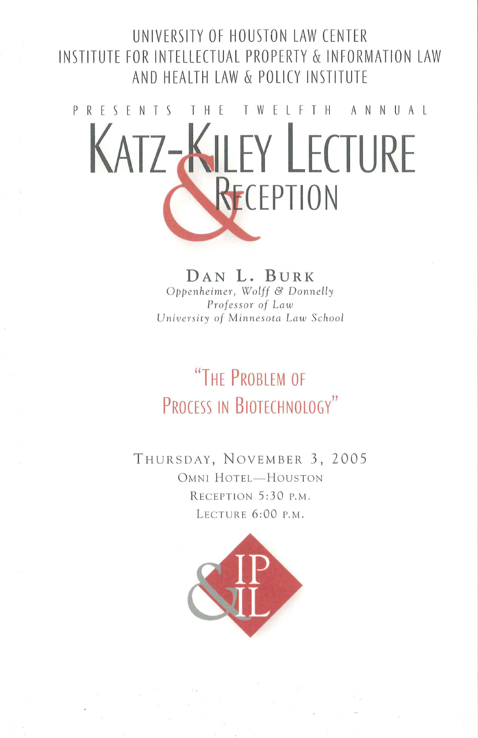#### UNIVERSITY OF HOUSTON LAW CENTER INSTITUTE FOR INTELLECTUAL PROPERTY & INFORMATION LAW AND HEALTH LAW & POLICY INSTITUTE



DAN L. BURK Oppenheimer, Wolff & Donnelly Professor of Law University of Minnesota Law School

# "THE PROBLEM OF PROCESS IN BIOTECHNOLOGY"

THURSDAY, NOVEMBER 3, 2005 OMNI HOTEL-HOUSTON RECEPTION 5:30 P.M. LECTURE 6:00 P.M.

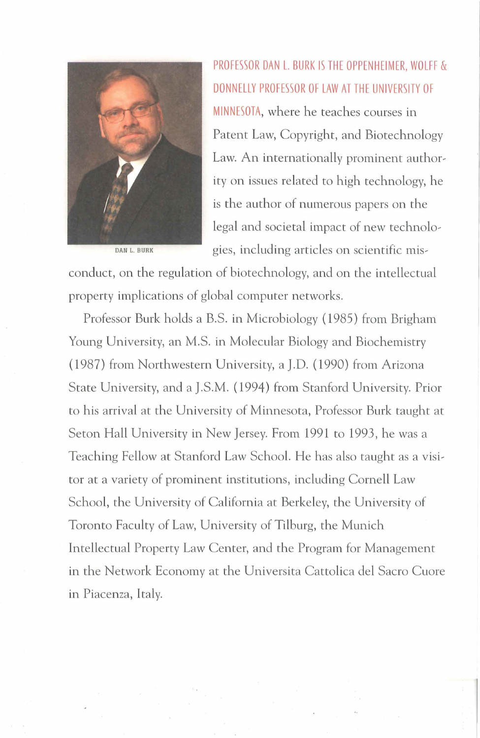

PROFESSOR DAN L. BURK IS THE OPPENHEIMER, WOLFF & DONNELLY PROFESSOR OF LAW AT THE UNIVERSITY OF MINNESOTA, where he teaches courses in Patent Law, Copyright, and Biotechnology Law. An internationally prominent authority on issues related to high technology, he is the author of numerous papers on the legal and societal impact of new technolo~ DAN L. BURK gies, including articles on scientific mis-

conduct, on the regulation of biotechnology, and on the intellectual property implications of global computer networks.

Professor Burk holds a B.S. in Microbiology ( 1985) from Brigham Young University, an M.S. in Molecular Biology and Biochemistry (1987) from Northwestern University, a J.D. (1990) from Arizona State University, and a J.S.M. (1994) from Stanford University. Prior to his arrival at the University of Minnesota, Professor Burk taught at Seton Hall University in New Jersey. From 1991 to 1993, he was a Teaching Fellow at Stanford Law School. He has also taught as a visitor at a variety of prominent institutions, including Cornell Law School, the University of California at Berkeley, the University of Toronto Faculty of Law, University of Tilburg, the Munich Intellectual Property Law Center, and the Program for Management in the Network Economy at the Universita Cattolica del Sacro Cuore in Piacenza, Italy.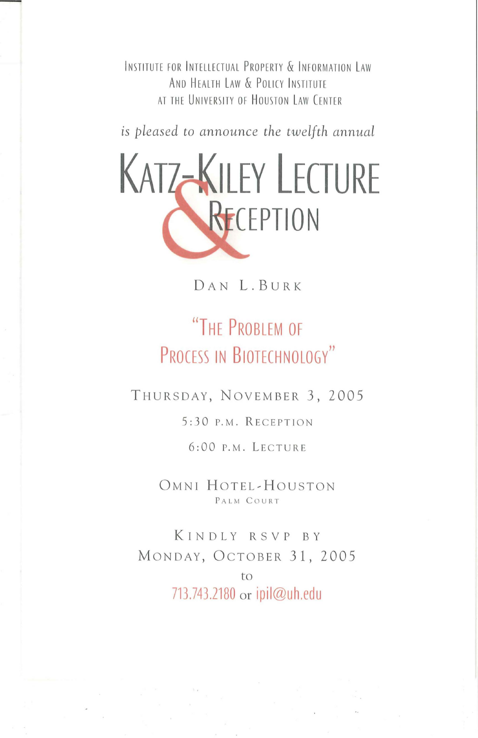INSTITUTE FOR INTELLECTUAL PROPERTY & INFORMATION LAW AND HEALTH LAW & POLICY INSTITUTE AT THE UNIVERSITY OF HOUSTON LAW CENTER

*is pleased to announce the twelfth annual* 



DAN L.BURK

## **"THE PROBLEM OF PROCESS IN BIOTECHNOLOGY"**

THUR SDAY, NOVEMBER 3, 2005

5:30 P.M. RECEPTION

6:00 P.M. LECTURE

OMNI HOTEL-HOUSTON PALM COURT

KINDLY RSVP BY MONDAY, OCTOBER 31, 2005 to 713.743.2180 or **ipil@uh.edu**